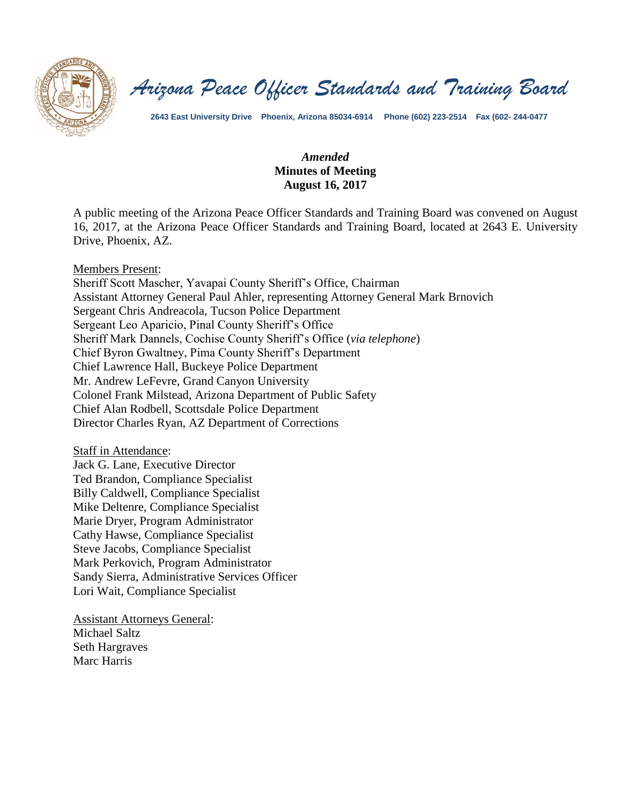

*Arizona Peace Officer Standards and Training Board*

**2643 East University Drive Phoenix, Arizona 85034-6914 Phone (602) 223-2514 Fax (602- 244-0477**

### *Amended* **Minutes of Meeting August 16, 2017**

A public meeting of the Arizona Peace Officer Standards and Training Board was convened on August 16, 2017, at the Arizona Peace Officer Standards and Training Board, located at 2643 E. University Drive, Phoenix, AZ.

Members Present:

Sheriff Scott Mascher, Yavapai County Sheriff's Office, Chairman Assistant Attorney General Paul Ahler, representing Attorney General Mark Brnovich Sergeant Chris Andreacola, Tucson Police Department Sergeant Leo Aparicio, Pinal County Sheriff's Office Sheriff Mark Dannels, Cochise County Sheriff's Office (*via telephone*) Chief Byron Gwaltney, Pima County Sheriff's Department Chief Lawrence Hall, Buckeye Police Department Mr. Andrew LeFevre, Grand Canyon University Colonel Frank Milstead, Arizona Department of Public Safety Chief Alan Rodbell, Scottsdale Police Department Director Charles Ryan, AZ Department of Corrections

Staff in Attendance: Jack G. Lane, Executive Director Ted Brandon, Compliance Specialist Billy Caldwell, Compliance Specialist Mike Deltenre, Compliance Specialist Marie Dryer, Program Administrator Cathy Hawse, Compliance Specialist Steve Jacobs, Compliance Specialist Mark Perkovich, Program Administrator Sandy Sierra, Administrative Services Officer Lori Wait, Compliance Specialist

Assistant Attorneys General: Michael Saltz Seth Hargraves Marc Harris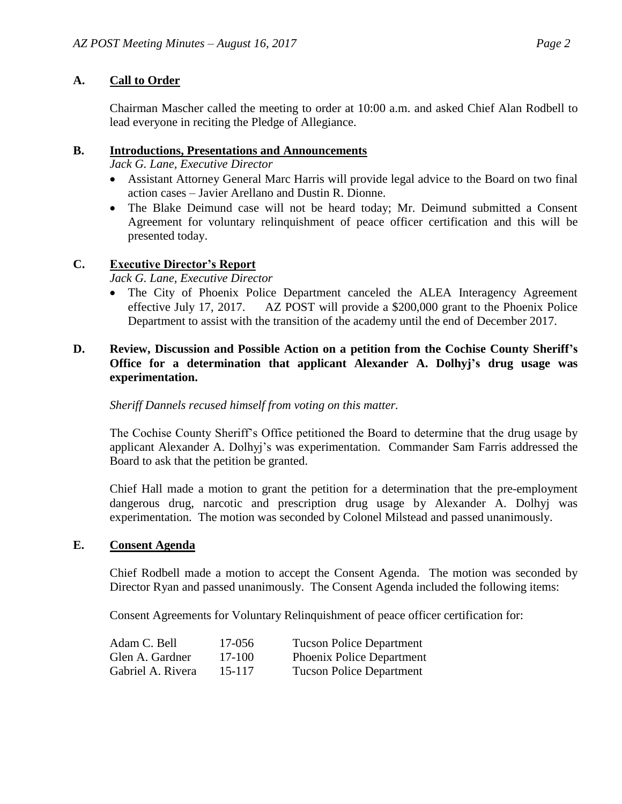# **A. Call to Order**

Chairman Mascher called the meeting to order at 10:00 a.m. and asked Chief Alan Rodbell to lead everyone in reciting the Pledge of Allegiance.

### **B. Introductions, Presentations and Announcements**

*Jack G. Lane, Executive Director*

- Assistant Attorney General Marc Harris will provide legal advice to the Board on two final action cases – Javier Arellano and Dustin R. Dionne.
- The Blake Deimund case will not be heard today; Mr. Deimund submitted a Consent Agreement for voluntary relinquishment of peace officer certification and this will be presented today.

# **C. Executive Director's Report**

### *Jack G. Lane, Executive Director*

• The City of Phoenix Police Department canceled the ALEA Interagency Agreement effective July 17, 2017. AZ POST will provide a \$200,000 grant to the Phoenix Police Department to assist with the transition of the academy until the end of December 2017.

# **D. Review, Discussion and Possible Action on a petition from the Cochise County Sheriff's Office for a determination that applicant Alexander A. Dolhyj's drug usage was experimentation.**

### *Sheriff Dannels recused himself from voting on this matter.*

The Cochise County Sheriff's Office petitioned the Board to determine that the drug usage by applicant Alexander A. Dolhyj's was experimentation. Commander Sam Farris addressed the Board to ask that the petition be granted.

Chief Hall made a motion to grant the petition for a determination that the pre-employment dangerous drug, narcotic and prescription drug usage by Alexander A. Dolhyj was experimentation. The motion was seconded by Colonel Milstead and passed unanimously.

#### **E. Consent Agenda**

Chief Rodbell made a motion to accept the Consent Agenda. The motion was seconded by Director Ryan and passed unanimously. The Consent Agenda included the following items:

Consent Agreements for Voluntary Relinquishment of peace officer certification for:

| Adam C. Bell      | 17-056 | <b>Tucson Police Department</b>  |
|-------------------|--------|----------------------------------|
| Glen A. Gardner   | 17-100 | <b>Phoenix Police Department</b> |
| Gabriel A. Rivera | 15-117 | <b>Tucson Police Department</b>  |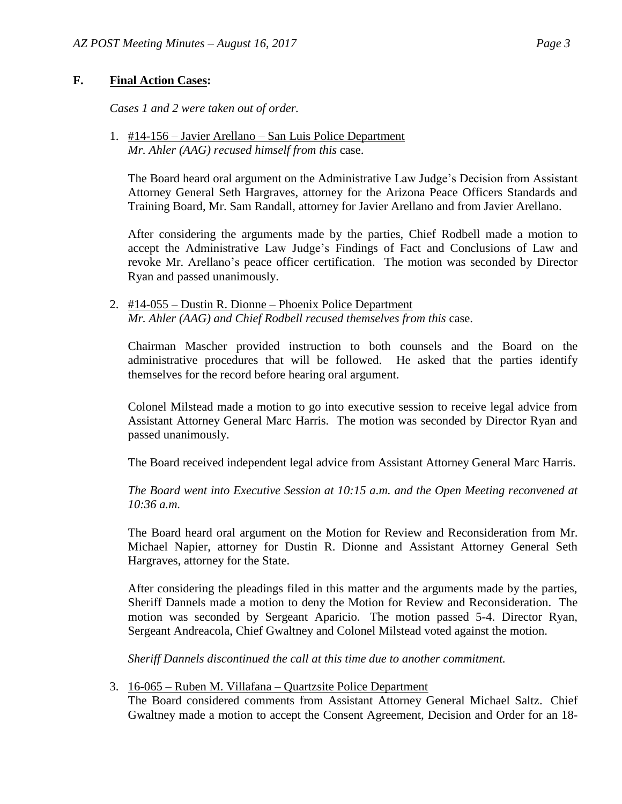# **F. Final Action Cases:**

*Cases 1 and 2 were taken out of order.*

1. #14-156 – Javier Arellano – San Luis Police Department *Mr. Ahler (AAG) recused himself from this* case.

The Board heard oral argument on the Administrative Law Judge's Decision from Assistant Attorney General Seth Hargraves, attorney for the Arizona Peace Officers Standards and Training Board, Mr. Sam Randall, attorney for Javier Arellano and from Javier Arellano.

After considering the arguments made by the parties, Chief Rodbell made a motion to accept the Administrative Law Judge's Findings of Fact and Conclusions of Law and revoke Mr. Arellano's peace officer certification. The motion was seconded by Director Ryan and passed unanimously.

2. #14-055 – Dustin R. Dionne – Phoenix Police Department *Mr. Ahler (AAG) and Chief Rodbell recused themselves from this* case.

Chairman Mascher provided instruction to both counsels and the Board on the administrative procedures that will be followed. He asked that the parties identify themselves for the record before hearing oral argument.

Colonel Milstead made a motion to go into executive session to receive legal advice from Assistant Attorney General Marc Harris. The motion was seconded by Director Ryan and passed unanimously.

The Board received independent legal advice from Assistant Attorney General Marc Harris.

*The Board went into Executive Session at 10:15 a.m. and the Open Meeting reconvened at 10:36 a.m.*

The Board heard oral argument on the Motion for Review and Reconsideration from Mr. Michael Napier, attorney for Dustin R. Dionne and Assistant Attorney General Seth Hargraves, attorney for the State.

After considering the pleadings filed in this matter and the arguments made by the parties, Sheriff Dannels made a motion to deny the Motion for Review and Reconsideration. The motion was seconded by Sergeant Aparicio. The motion passed 5-4. Director Ryan, Sergeant Andreacola, Chief Gwaltney and Colonel Milstead voted against the motion.

*Sheriff Dannels discontinued the call at this time due to another commitment.*

3. 16-065 – Ruben M. Villafana – Quartzsite Police Department

The Board considered comments from Assistant Attorney General Michael Saltz. Chief Gwaltney made a motion to accept the Consent Agreement, Decision and Order for an 18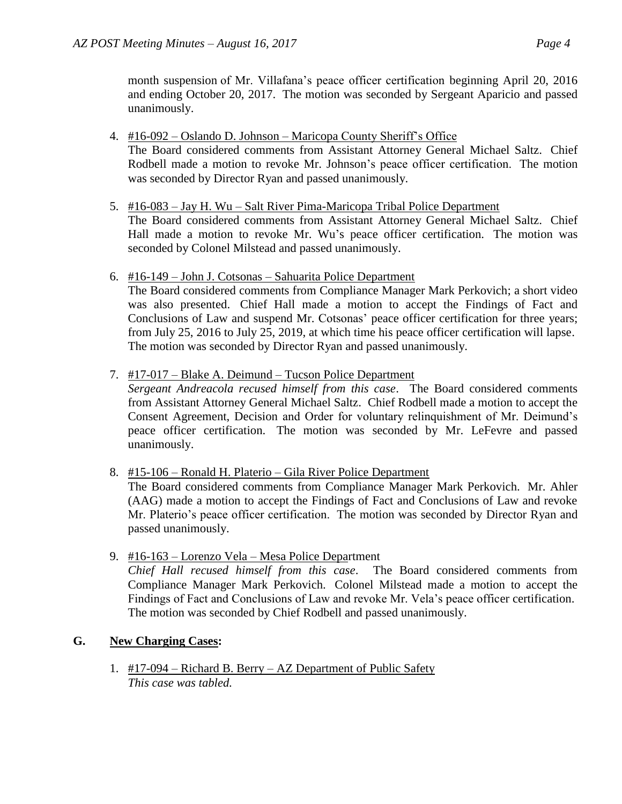month suspension of Mr. Villafana's peace officer certification beginning April 20, 2016 and ending October 20, 2017. The motion was seconded by Sergeant Aparicio and passed unanimously.

4. #16-092 – Oslando D. Johnson – Maricopa County Sheriff's Office

The Board considered comments from Assistant Attorney General Michael Saltz. Chief Rodbell made a motion to revoke Mr. Johnson's peace officer certification. The motion was seconded by Director Ryan and passed unanimously.

5. #16-083 – Jay H. Wu – Salt River Pima-Maricopa Tribal Police Department

The Board considered comments from Assistant Attorney General Michael Saltz. Chief Hall made a motion to revoke Mr. Wu's peace officer certification. The motion was seconded by Colonel Milstead and passed unanimously.

6. #16-149 – John J. Cotsonas – Sahuarita Police Department

The Board considered comments from Compliance Manager Mark Perkovich; a short video was also presented. Chief Hall made a motion to accept the Findings of Fact and Conclusions of Law and suspend Mr. Cotsonas' peace officer certification for three years; from July 25, 2016 to July 25, 2019, at which time his peace officer certification will lapse. The motion was seconded by Director Ryan and passed unanimously.

7. #17-017 – Blake A. Deimund – Tucson Police Department

*Sergeant Andreacola recused himself from this case*. The Board considered comments from Assistant Attorney General Michael Saltz. Chief Rodbell made a motion to accept the Consent Agreement, Decision and Order for voluntary relinquishment of Mr. Deimund's peace officer certification. The motion was seconded by Mr. LeFevre and passed unanimously.

8. #15-106 – Ronald H. Platerio – Gila River Police Department

The Board considered comments from Compliance Manager Mark Perkovich. Mr. Ahler (AAG) made a motion to accept the Findings of Fact and Conclusions of Law and revoke Mr. Platerio's peace officer certification. The motion was seconded by Director Ryan and passed unanimously.

9. #16-163 – Lorenzo Vela – Mesa Police Department *Chief Hall recused himself from this case*. The Board considered comments from Compliance Manager Mark Perkovich. Colonel Milstead made a motion to accept the Findings of Fact and Conclusions of Law and revoke Mr. Vela's peace officer certification. The motion was seconded by Chief Rodbell and passed unanimously.

# **G. New Charging Cases:**

1. #17-094 – Richard B. Berry – AZ Department of Public Safety *This case was tabled.*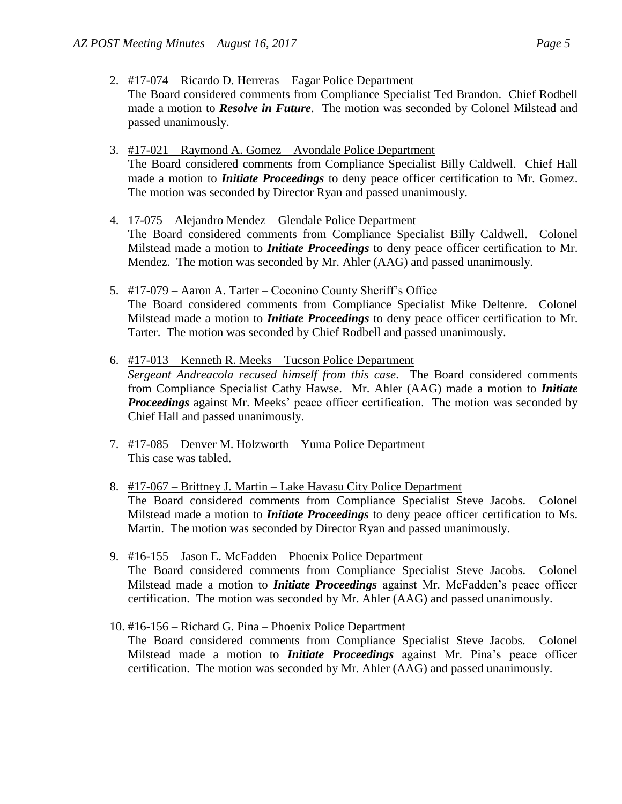2. #17-074 – Ricardo D. Herreras – Eagar Police Department

The Board considered comments from Compliance Specialist Ted Brandon. Chief Rodbell made a motion to *Resolve in Future*. The motion was seconded by Colonel Milstead and passed unanimously.

- 3. #17-021 Raymond A. Gomez Avondale Police Department The Board considered comments from Compliance Specialist Billy Caldwell. Chief Hall
	- made a motion to *Initiate Proceedings* to deny peace officer certification to Mr. Gomez. The motion was seconded by Director Ryan and passed unanimously.
- 4. 17-075 Alejandro Mendez Glendale Police Department The Board considered comments from Compliance Specialist Billy Caldwell. Colonel Milstead made a motion to *Initiate Proceedings* to deny peace officer certification to Mr. Mendez. The motion was seconded by Mr. Ahler (AAG) and passed unanimously.
- 5. #17-079 Aaron A. Tarter Coconino County Sheriff's Office The Board considered comments from Compliance Specialist Mike Deltenre. Colonel Milstead made a motion to *Initiate Proceedings* to deny peace officer certification to Mr. Tarter. The motion was seconded by Chief Rodbell and passed unanimously.
- 6. #17-013 Kenneth R. Meeks Tucson Police Department *Sergeant Andreacola recused himself from this case*. The Board considered comments from Compliance Specialist Cathy Hawse. Mr. Ahler (AAG) made a motion to *Initiate Proceedings* against Mr. Meeks' peace officer certification. The motion was seconded by Chief Hall and passed unanimously.
- 7. #17-085 Denver M. Holzworth Yuma Police Department This case was tabled.
- 8. #17-067 Brittney J. Martin Lake Havasu City Police Department The Board considered comments from Compliance Specialist Steve Jacobs. Colonel Milstead made a motion to *Initiate Proceedings* to deny peace officer certification to Ms. Martin. The motion was seconded by Director Ryan and passed unanimously.
- 9. #16-155 Jason E. McFadden Phoenix Police Department The Board considered comments from Compliance Specialist Steve Jacobs. Colonel Milstead made a motion to *Initiate Proceedings* against Mr. McFadden's peace officer certification. The motion was seconded by Mr. Ahler (AAG) and passed unanimously.
- 10. #16-156 Richard G. Pina Phoenix Police Department

The Board considered comments from Compliance Specialist Steve Jacobs. Colonel Milstead made a motion to *Initiate Proceedings* against Mr. Pina's peace officer certification. The motion was seconded by Mr. Ahler (AAG) and passed unanimously.